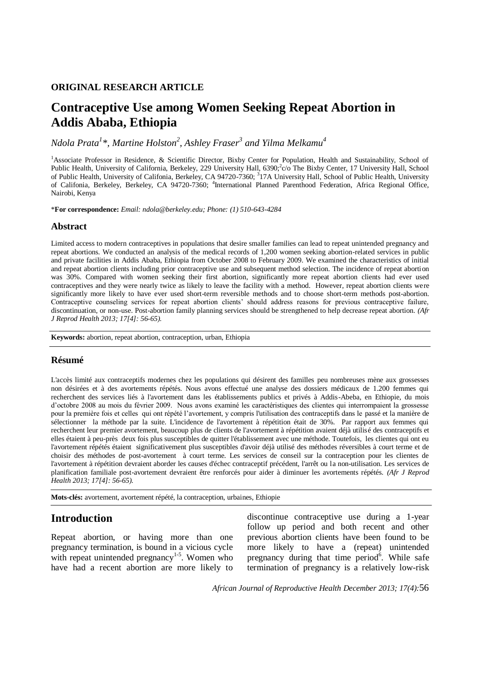### **ORIGINAL RESEARCH ARTICLE**

# **Contraceptive Use among Women Seeking Repeat Abortion in Addis Ababa, Ethiopia**

*Ndola Prata<sup>1</sup> \*, Martine Holston<sup>2</sup> , Ashley Fraser<sup>3</sup> and Yilma Melkamu<sup>4</sup>*

<sup>1</sup>Associate Professor in Residence, & Scientific Director, Bixby Center for Population, Health and Sustainability, School of Public Health, University of California, Berkeley, 229 University Hall, 6390;<sup>2</sup>c/o The Bixby Center, 17 University Hall, School of Public Health, University of Califonia, Berkeley, CA 94720-7360; <sup>3</sup>17A University Hall, School of Public Health, University of Califonia, Berkeley, Berkeley, CA 94720-7360; <sup>4</sup>International Planned Parenthood Federation, Africa Regional Office, Nairobi, Kenya

\***For correspondence:** *Email: ndola@berkeley.edu; Phone: (1) 510-643-4284* 

### **Abstract**

Limited access to modern contraceptives in populations that desire smaller families can lead to repeat unintended pregnancy and repeat abortions. We conducted an analysis of the medical records of 1,200 women seeking abortion-related services in public and private facilities in Addis Ababa, Ethiopia from October 2008 to February 2009. We examined the characteristics of initial and repeat abortion clients including prior contraceptive use and subsequent method selection. The incidence of repeat abortion was 30%. Compared with women seeking their first abortion, significantly more repeat abortion clients had ever used contraceptives and they were nearly twice as likely to leave the facility with a method. However, repeat abortion clients were significantly more likely to have ever used short-term reversible methods and to choose short-term methods post-abortion. Contraceptive counseling services for repeat abortion clients' should address reasons for previous contraceptive failure, discontinuation, or non-use. Post-abortion family planning services should be strengthened to help decrease repeat abortion. *(Afr J Reprod Health 2013; 17[4]: 56-65).*

**Keywords:** abortion, repeat abortion, contraception, urban, Ethiopia

### **Résumé**

L'accès limité aux contraceptifs modernes chez les populations qui désirent des familles peu nombreuses mène aux grossesses non désirées et à des avortements répétés. Nous avons effectué une analyse des dossiers médicaux de 1.200 femmes qui recherchent des services liés à l'avortement dans les établissements publics et privés à Addis-Abeba, en Ethiopie, du mois d'octobre 2008 au mois du février 2009. Nous avons examiné les caractéristiques des clientes qui interrompaient la grossesse pour la première fois et celles qui ont répété l'avortement, y compris l'utilisation des contraceptifs dans le passé et la manière de sélectionner la méthode par la suite. L'incidence de l'avortement à répétition était de 30%. Par rapport aux femmes qui recherchent leur premier avortement, beaucoup plus de clients de l'avortement à répétition avaient déjà utilisé des contraceptifs et elles étaient à peu-près deux fois plus susceptibles de quitter l'établissement avec une méthode. Toutefois, les clientes qui ont eu l'avortement répétés étaient significativement plus susceptibles d'avoir déjà utilisé des méthodes réversibles à court terme et de choisir des méthodes de post-avortement à court terme. Les services de conseil sur la contraception pour les clientes de l'avortement à répétition devraient aborder les causes d'échec contraceptif précédent, l'arrêt ou la non-utilisation. Les services de planification familiale post-avortement devraient être renforcés pour aider à diminuer les avortements répétés. *(Afr J Reprod Health 2013; 17[4]: 56-65).*

**Mots-clés:** avortement, avortement répété, la contraception, urbaines, Ethiopie

## **Introduction**

Repeat abortion, or having more than one pregnancy termination, is bound in a vicious cycle with repeat unintended pregnancy $1.5$ . Women who have had a recent abortion are more likely to

discontinue contraceptive use during a 1-year follow up period and both recent and other previous abortion clients have been found to be more likely to have a (repeat) unintended pregnancy [d](#page-8-1)uring that time period<sup>6</sup>. While safe termination of pregnancy is a relatively low-risk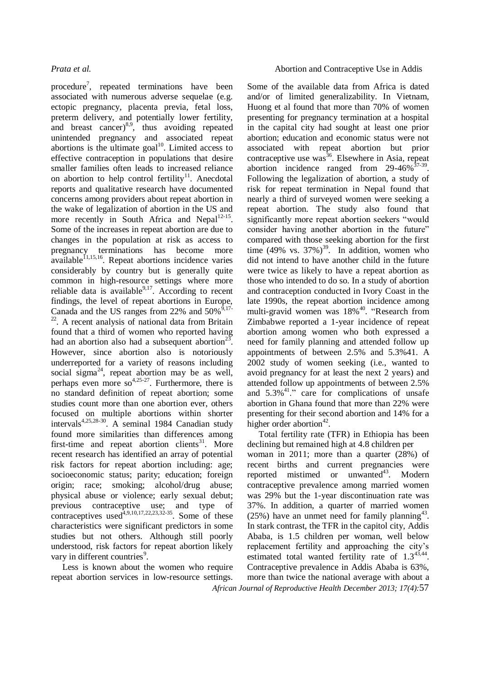procedure<sup>7</sup>[,](#page-8-2) repeated terminations have been associated with numerous adverse sequelae (e.g. ectopic pregnancy, placenta previa, fetal loss, preterm delivery, and potentially lower fertility, and breast cancer) $8.9$  $8.9$ , thus avoiding repeated unintended pregnancy and associated repeat abortions is the ultimate  $\text{goal}^{10}$  $\text{goal}^{10}$  $\text{goal}^{10}$ . Limited access to effective contraception in populations that desire smaller families often leads to increased reliance on abortion to help control fertility<sup>[11](#page-8-6)</sup>. Anecdotal reports and qualitative research have documented concerns among providers about repeat abortion in the wake of legalization of abortion in the US and more recently in South Africa and Nepal<sup>[12-15](#page-8-7)</sup>. Some of the increases in repeat abortion are due to changes in the population at risk as access to pregnancy terminations has become more  $a$ vailable $^{11,15,16}$  $^{11,15,16}$  $^{11,15,16}$  $^{11,15,16}$  $^{11,15,16}$ . Repeat abortions incidence varies considerably by country but is generally quite common in high-resource settings where more reliable data is available $9.17$  $9.17$ . According to recent findings, the level of repeat abortions in Europe, Canada and the US ranges from 22% and  $50\%$ <sup>5,[17-](#page-8-10)</sup> <sup>[22](#page-8-10)</sup>. A recent analysis of national data from Britain found that a third of women who reported having had an abortion also had a subsequent abortion<sup>[23](#page-8-11)</sup>. However, since abortion also is notoriously underreported for a variety of reasons including social sigma<sup>[24](#page-8-12)</sup>, repeat abortion may be as well, perhaps even more so<sup>[4,](#page-8-13)[25-27](#page-8-14)</sup>. Furthermore, there is no standard definition of repeat abortion; some studies count more than one abortion ever, others focused on multiple abortions within shorter intervals<sup>[4,](#page-8-13)[25,](#page-8-14)[28-30](#page-8-15)</sup>. A seminal 1984 Canadian study found more similarities than differences among first-time and repeat abortion clients<sup>[31](#page-8-16)</sup>. More recent research has identified an array of potential risk factors for repeat abortion including: age; socioeconomic status; parity; education; foreign origin; race; smoking; alcohol/drug abuse; physical abuse or violence; early sexual debut; previous contraceptive use; and type of contraceptives used $4,9,10,17,22,23,32-35$  $4,9,10,17,22,23,32-35$  $4,9,10,17,22,23,32-35$  $4,9,10,17,22,23,32-35$  $4,9,10,17,22,23,32-35$  $4,9,10,17,22,23,32-35$  $4,9,10,17,22,23,32-35$ . Some of these characteristics were significant predictors in some studies but not others. Although still poorly understood, risk factors for repeat abortion likely vary in different countrie[s](#page-8-4)<sup>9</sup>.

Less is known about the women who require repeat abortion services in low-resource settings.

### *Prata et al.* Abortion and Contraceptive Use in Addis

Some of the available data from Africa is dated and/or of limited generalizability. In Vietnam, Huong et al found that more than 70% of women presenting for pregnancy termination at a hospital in the capital city had sought at least one prior abortion; education and economic status were not associated with repeat abortion but prior contraceptive use was<sup>[36](#page-9-1)</sup>. Elsewhere in Asia, repeat abortion incidence ranged from  $29-46\%^{37-39}$  $29-46\%^{37-39}$  $29-46\%^{37-39}$ . Following the legalization of abortion, a study of risk for repeat termination in Nepal found that nearly a third of surveyed women were seeking a repeat abortion. The study also found that significantly more repeat abortion seekers "would consider having another abortion in the future" compared with those seeking abortion for the first time (49% vs.  $37\%$ )<sup>[39](#page-9-3)</sup>. In addition, women who did not intend to have another child in the future were twice as likely to have a repeat abortion as those who intended to do so. In a study of abortion and contraception conducted in Ivory Coast in the late 1990s, the repeat abortion incidence among multi-gravid women was 18%<sup>[40](#page-9-4)</sup>. "Research from Zimbabwe reported a 1-year incidence of repeat abortion among women who both expressed a need for family planning and attended follow up appointments of between 2.5% and 5.3[%41.](#page-9-5) A 2002 study of women seeking (i.e., wanted to avoid pregnancy for at least the next 2 years) and attended follow up appointments of between 2.5% and  $5.3\%$ <sup>41</sup>." care for complications of unsafe abortion in Ghana found that more than 22% were presenting for their second abortion and 14% for a higher order abortion<sup>[42](#page-9-6)</sup>.

*African Journal of Reproductive Health December 2013; 17(4):*57 Total fertility rate (TFR) in Ethiopia has been declining but remained high at 4.8 children per woman in 2011; more than a quarter (28%) of recent births and current pregnancies were reported mistimed or unwanted<sup>[43](#page-9-7)</sup>. Modern contraceptive prevalence among married women was 29% but the 1-year discontinuation rate was 37%. In addition, a quarter of married women  $(25%)$  have an unmet need for family planning<sup>[43](#page-9-7)</sup>. In stark contrast, the TFR in the capitol city, Addis Ababa, is 1.5 children per woman, well below replacement fertility and approaching the city's estimated total wanted fertility rate of  $1.3^{43,44}$  $1.3^{43,44}$  $1.3^{43,44}$  $1.3^{43,44}$ . Contraceptive prevalence in Addis Ababa is 63%, more than twice the national average with about a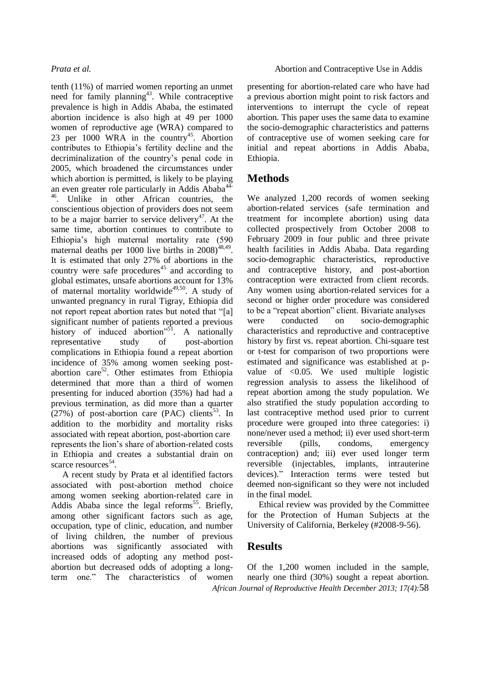tenth (11%) of married women reporting an unmet need for family planning<sup>[43](#page-9-7)</sup>. While contraceptive prevalence is high in Addis Ababa, the estimated abortion incidence is also high at 49 per 1000 women of reproductive age (WRA) compared to 23 per  $1000$  WRA in the country<sup>[45](#page-9-9)</sup>. Abortion contributes to Ethiopia's fertility decline and the decriminalization of the country's penal code in 2005, which broadened the circumstances under which abortion is permitted, is likely to be playing an even greater role particularly in Addis Ababa<sup>4</sup> <sup>46</sup>. Unlike in other African countries, the conscientious objection of providers does not seem to be a major barrier to service delivery<sup>[47](#page-9-10)</sup>. At the same time, abortion continues to contribute to Ethiopia's high maternal mortality rate (590 maternal deaths per 1000 live births in  $2008)^{48,49}$  $2008)^{48,49}$  $2008)^{48,49}$  $2008)^{48,49}$ . It is estimated that only 27% of abortions in the country were safe procedures<sup>[45](#page-9-9)</sup> and according to global estimates, unsafe abortions account for 13% of maternal mortality worldwide<sup>[49,](#page-9-12)[50](#page-9-13)</sup>. A study of unwanted pregnancy in rural Tigray, Ethiopia did not report repeat abortion rates but noted that "[a] significant number of patients reported a previous history of induced abortion<sup> $n^{51}$  $n^{51}$  $n^{51}$ </sup>. A nationally representative study of post-abortion complications in Ethiopia found a repeat abortion incidence of 35% among women seeking post-abortion care<sup>[52](#page-9-15)</sup>. Other estimates from Ethiopia determined that more than a third of women presenting for induced abortion (35%) had had a previous termination, as did more than a quarter  $(27%)$  of post-abortion care (PAC) clients<sup>[53](#page-9-16)</sup>. In addition to the morbidity and mortality risks associated with repeat abortion, post-abortion care represents the lion's share of abortion-related costs in Ethiopia and creates a substantial drain on scarce resources<sup>[54](#page-9-17)</sup>.

A recent study by Prata et al identified factors associated with post-abortion method choice among women seeking abortion-related care in Addis Ababa since the legal reforms<sup>[55](#page-9-18)</sup>. Briefly, among other significant factors such as age, occupation, type of clinic, education, and number of living children, the number of previous abortions was significantly associated with increased odds of adopting any method postabortion but decreased odds of adopting a longterm one." The characteristics of women

presenting for abortion-related care who have had a previous abortion might point to risk factors and interventions to interrupt the cycle of repeat abortion. This paper uses the same data to examine the socio-demographic characteristics and patterns of contraceptive use of women seeking care for initial and repeat abortions in Addis Ababa, Ethiopia.

## **Methods**

We analyzed 1,200 records of women seeking abortion-related services (safe termination and treatment for incomplete abortion) using data collected prospectively from October 2008 to February 2009 in four public and three private health facilities in Addis Ababa. Data regarding socio-demographic characteristics, reproductive and contraceptive history, and post-abortion contraception were extracted from client records. Any women using abortion-related services for a second or higher order procedure was considered to be a "repeat abortion" client. Bivariate analyses were conducted on socio-demographic characteristics and reproductive and contraceptive history by first vs. repeat abortion. Chi-square test or t-test for comparison of two proportions were estimated and significance was established at pvalue of <0.05. We used multiple logistic regression analysis to assess the likelihood of repeat abortion among the study population. We also stratified the study population according to last contraceptive method used prior to current procedure were grouped into three categories: i) none/never used a method; ii) ever used short-term reversible (pills, condoms, emergency contraception) and; iii) ever used longer term reversible (injectables, implants, intrauterine devices)." Interaction terms were tested but deemed non-significant so they were not included in the final model.

Ethical review was provided by the Committee for the Protection of Human Subjects at the University of California, Berkeley (#2008-9-56).

## **Results**

*African Journal of Reproductive Health December 2013; 17(4):*58 Of the 1,200 women included in the sample, nearly one third (30%) sought a repeat abortion.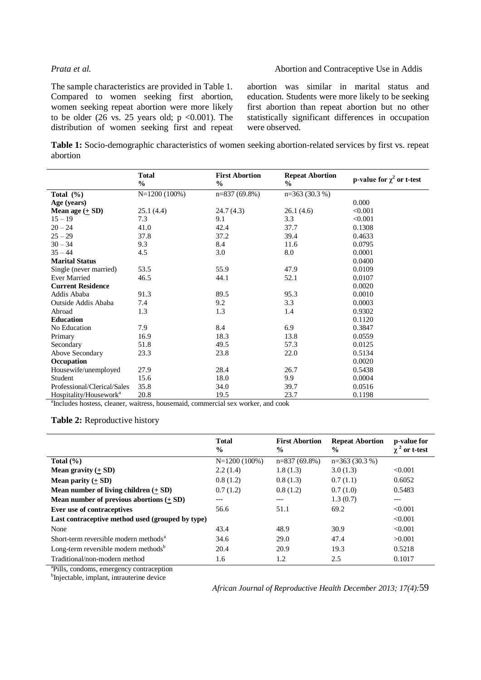### *Prata et al.* Abortion and Contraceptive Use in Addis

The sample characteristics are provided in Table 1. Compared to women seeking first abortion, women seeking repeat abortion were more likely to be older  $(26 \text{ vs. } 25 \text{ years old}; p \lt 0.001)$ . The distribution of women seeking first and repeat abortion was similar in marital status and education. Students were more likely to be seeking first abortion than repeat abortion but no other statistically significant differences in occupation were observed.

**Table 1:** Socio-demographic characteristics of women seeking abortion-related services by first vs. repeat abortion

|                                    | <b>Total</b><br>$\frac{0}{0}$ | <b>First Abortion</b><br>$\frac{0}{0}$ | <b>Repeat Abortion</b><br>$\%$ | p-value for $\chi^2$ or t-test |
|------------------------------------|-------------------------------|----------------------------------------|--------------------------------|--------------------------------|
| Total $(\%)$                       | $N=1200(100\%)$               | $n=837(69.8\%)$                        | $n=363(30.3%)$                 |                                |
| Age (years)                        |                               |                                        |                                | 0.000                          |
| Mean age $(\pm SD)$                | 25.1 (4.4)                    | 24.7(4.3)                              | 26.1 (4.6)                     | < 0.001                        |
| $15 - 19$                          | 7.3                           | 9.1                                    | 3.3                            | < 0.001                        |
| $20 - 24$                          | 41.0                          | 42.4                                   | 37.7                           | 0.1308                         |
| $25 - 29$                          | 37.8                          | 37.2                                   | 39.4                           | 0.4633                         |
| $30 - 34$                          | 9.3                           | 8.4                                    | 11.6                           | 0.0795                         |
| $35 - 44$                          | 4.5                           | 3.0                                    | 8.0                            | 0.0001                         |
| <b>Marital Status</b>              |                               |                                        |                                | 0.0400                         |
| Single (never married)             | 53.5                          | 55.9                                   | 47.9                           | 0.0109                         |
| <b>Ever Married</b>                | 46.5                          | 44.1                                   | 52.1                           | 0.0107                         |
| <b>Current Residence</b>           |                               |                                        |                                | 0.0020                         |
| Addis Ababa                        | 91.3                          | 89.5                                   | 95.3                           | 0.0010                         |
| Outside Addis Ababa                | 7.4                           | 9.2                                    | 3.3                            | 0.0003                         |
| Abroad                             | 1.3                           | 1.3                                    | 1.4                            | 0.9302                         |
| <b>Education</b>                   |                               |                                        |                                | 0.1120                         |
| No Education                       | 7.9                           | 8.4                                    | 6.9                            | 0.3847                         |
| Primary                            | 16.9                          | 18.3                                   | 13.8                           | 0.0559                         |
| Secondary                          | 51.8                          | 49.5                                   | 57.3                           | 0.0125                         |
| Above Secondary                    | 23.3                          | 23.8                                   | 22.0                           | 0.5134                         |
| Occupation                         |                               |                                        |                                | 0.0020                         |
| Housewife/unemployed               | 27.9                          | 28.4                                   | 26.7                           | 0.5438                         |
| Student                            | 15.6                          | 18.0                                   | 9.9                            | 0.0004                         |
| Professional/Clerical/Sales        | 35.8                          | 34.0                                   | 39.7                           | 0.0516                         |
| Hospitality/Housework <sup>a</sup> | 20.8                          | 19.5                                   | 23.7                           | 0.1198                         |

<sup>a</sup>Includes hostess, cleaner, waitress, housemaid, commercial sex worker, and cook

### **Table 2:** Reproductive history

|                                                   | <b>Total</b><br>$\frac{6}{9}$ | <b>First Abortion</b><br>$\frac{0}{0}$ | <b>Repeat Abortion</b><br>$\frac{6}{9}$ | p-value for<br>or t-test |
|---------------------------------------------------|-------------------------------|----------------------------------------|-----------------------------------------|--------------------------|
| Total $(\% )$                                     | $N=1200(100\%)$               | $n=837(69.8\%)$                        | $n=363(30.3\%)$                         |                          |
| Mean gravity $(+ SD)$                             | 2.2(1.4)                      | 1.8(1.3)                               | 3.0(1.3)                                | < 0.001                  |
| <b>Mean parity</b> $(\pm SD)$                     | 0.8(1.2)                      | 0.8(1.3)                               | 0.7(1.1)                                | 0.6052                   |
| Mean number of living children $(+$ SD)           | 0.7(1.2)                      | 0.8(1.2)                               | 0.7(1.0)                                | 0.5483                   |
| Mean number of previous abortions $(+ SD)$        | ---                           | $---$                                  | 1.3(0.7)                                | ---                      |
| Ever use of contraceptives                        | 56.6                          | 51.1                                   | 69.2                                    | < 0.001                  |
| Last contraceptive method used (grouped by type)  |                               |                                        |                                         | < 0.001                  |
| None                                              | 43.4                          | 48.9                                   | 30.9                                    | < 0.001                  |
| Short-term reversible modern methods <sup>a</sup> | 34.6                          | 29.0                                   | 47.4                                    | >0.001                   |
| Long-term reversible modern methods <sup>b</sup>  | 20.4                          | 20.9                                   | 19.3                                    | 0.5218                   |
| Traditional/non-modern method                     | 1.6                           | 1.2                                    | 2.5                                     | 0.1017                   |

<sup>a</sup>Pills, condoms, emergency contraception

<sup>b</sup>Injectable, implant, intrauterine device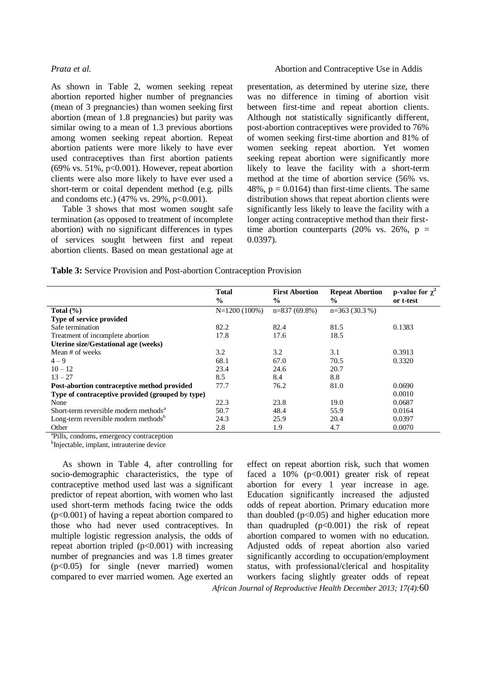As shown in Table 2, women seeking repeat abortion reported higher number of pregnancies (mean of 3 pregnancies) than women seeking first abortion (mean of 1.8 pregnancies) but parity was similar owing to a mean of 1.3 previous abortions among women seeking repeat abortion. Repeat abortion patients were more likely to have ever used contraceptives than first abortion patients (69% vs. 51%,  $p<0.001$ ). However, repeat abortion clients were also more likely to have ever used a short-term or coital dependent method (e.g. pills and condoms etc.)  $(47\% \text{ vs. } 29\%, \text{ p} < 0.001)$ .

Table 3 shows that most women sought safe termination (as opposed to treatment of incomplete abortion) with no significant differences in types of services sought between first and repeat abortion clients. Based on mean gestational age at

### *Prata et al.* Abortion and Contraceptive Use in Addis

presentation, as determined by uterine size, there was no difference in timing of abortion visit between first-time and repeat abortion clients. Although not statistically significantly different, post-abortion contraceptives were provided to 76% of women seeking first-time abortion and 81% of women seeking repeat abortion. Yet women seeking repeat abortion were significantly more likely to leave the facility with a short-term method at the time of abortion service (56% vs. 48%,  $p = 0.0164$ ) than first-time clients. The same distribution shows that repeat abortion clients were significantly less likely to leave the facility with a longer acting contraceptive method than their firsttime abortion counterparts (20% vs. 26%,  $p =$ 0.0397).

| Table 3: Service Provision and Post-abortion Contraception Provision |  |
|----------------------------------------------------------------------|--|
|----------------------------------------------------------------------|--|

|                                                   | <b>Total</b><br>$\frac{0}{0}$ | <b>First Abortion</b><br>$\frac{6}{9}$ | <b>Repeat Abortion</b><br>$\frac{6}{9}$ | p-value for $\chi^2$<br>or t-test |
|---------------------------------------------------|-------------------------------|----------------------------------------|-----------------------------------------|-----------------------------------|
| Total $(\% )$                                     | $N=1200(100\%)$               | $n=837(69.8\%)$                        | $n=363(30.3%)$                          |                                   |
| <b>Type of service provided</b>                   |                               |                                        |                                         |                                   |
| Safe termination                                  | 82.2                          | 82.4                                   | 81.5                                    | 0.1383                            |
| Treatment of incomplete abortion                  | 17.8                          | 17.6                                   | 18.5                                    |                                   |
| <b>Uterine size/Gestational age (weeks)</b>       |                               |                                        |                                         |                                   |
| Mean # of weeks                                   | 3.2                           | 3.2                                    | 3.1                                     | 0.3913                            |
| $4 - 9$                                           | 68.1                          | 67.0                                   | 70.5                                    | 0.3320                            |
| $10 - 12$                                         | 23.4                          | 24.6                                   | 20.7                                    |                                   |
| $13 - 27$                                         | 8.5                           | 8.4                                    | 8.8                                     |                                   |
| Post-abortion contraceptive method provided       | 77.7                          | 76.2                                   | 81.0                                    | 0.0690                            |
| Type of contraceptive provided (grouped by type)  |                               |                                        |                                         | 0.0010                            |
| None                                              | 22.3                          | 23.8                                   | 19.0                                    | 0.0687                            |
| Short-term reversible modern methods <sup>a</sup> | 50.7                          | 48.4                                   | 55.9                                    | 0.0164                            |
| Long-term reversible modern methods <sup>b</sup>  | 24.3                          | 25.9                                   | 20.4                                    | 0.0397                            |
| Other                                             | 2.8                           | 1.9                                    | 4.7                                     | 0.0070                            |

<sup>a</sup>Pills, condoms, emergency contraception

<sup>b</sup>Injectable, implant, intrauterine device

As shown in Table 4, after controlling for socio-demographic characteristics, the type of contraceptive method used last was a significant predictor of repeat abortion, with women who last used short-term methods facing twice the odds (p<0.001) of having a repeat abortion compared to those who had never used contraceptives. In multiple logistic regression analysis, the odds of repeat abortion tripled  $(p<0.001)$  with increasing number of pregnancies and was 1.8 times greater (p<0.05) for single (never married) women compared to ever married women. Age exerted an

*African Journal of Reproductive Health December 2013; 17(4):*60 effect on repeat abortion risk, such that women faced a  $10\%$  (p<0.001) greater risk of repeat abortion for every 1 year increase in age. Education significantly increased the adjusted odds of repeat abortion. Primary education more than doubled  $(p<0.05)$  and higher education more than quadrupled  $(p<0.001)$  the risk of repeat abortion compared to women with no education. Adjusted odds of repeat abortion also varied significantly according to occupation/employment status, with professional/clerical and hospitality workers facing slightly greater odds of repeat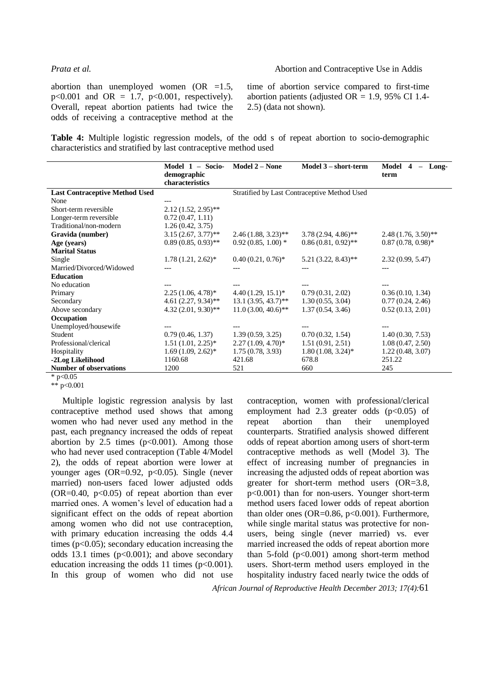### *Prata et al.* Abortion and Contraceptive Use in Addis

abortion than unemployed women  $(OR = 1.5,$  $p < 0.001$  and OR = 1.7,  $p < 0.001$ , respectively). Overall, repeat abortion patients had twice the odds of receiving a contraceptive method at the time of abortion service compared to first-time abortion patients (adjusted  $OR = 1.9$ , 95% CI 1.4-2.5) (data not shown).

**Table 4:** Multiple logistic regression models, of the odd s of repeat abortion to socio-demographic characteristics and stratified by last contraceptive method used

|                                       | Model $1 -$ Socio-<br>demographic<br>characteristics | <b>Model 2 – None</b>                        | Model 3 - short-term  | Model<br>Long-<br>4<br>$\overline{\phantom{a}}$<br>term |
|---------------------------------------|------------------------------------------------------|----------------------------------------------|-----------------------|---------------------------------------------------------|
| <b>Last Contraceptive Method Used</b> |                                                      | Stratified by Last Contraceptive Method Used |                       |                                                         |
| None                                  |                                                      |                                              |                       |                                                         |
| Short-term reversible                 | $2.12(1.52, 2.95)$ **                                |                                              |                       |                                                         |
| Longer-term reversible                | 0.72(0.47, 1.11)                                     |                                              |                       |                                                         |
| Traditional/non-modern                | 1.26(0.42, 3.75)                                     |                                              |                       |                                                         |
| Gravida (number)                      | $3.15(2.67, 3.77)$ **                                | $2.46(1.88, 3.23)$ **                        | $3.78(2.94, 4.86)$ ** | $2.48(1.76, 3.50)$ **                                   |
| Age (years)                           | $0.89(0.85, 0.93)$ **                                | $0.92(0.85, 1.00)$ *                         | $0.86(0.81, 0.92)$ ** | $0.87(0.78, 0.98)^*$                                    |
| <b>Marital Status</b>                 |                                                      |                                              |                       |                                                         |
| Single                                | $1.78(1.21, 2.62)^*$                                 | $0.40(0.21, 0.76)^*$                         | $5.21(3.22, 8.43)$ ** | 2.32(0.99, 5.47)                                        |
| Married/Divorced/Widowed              |                                                      |                                              |                       | $---$                                                   |
| <b>Education</b>                      |                                                      |                                              |                       |                                                         |
| No education                          |                                                      |                                              |                       |                                                         |
| Primary                               | $2.25(1.06, 4.78)^*$                                 | $4.40(1.29, 15.1)^*$                         | 0.79(0.31, 2.02)      | 0.36(0.10, 1.34)                                        |
| Secondary                             | $4.61(2.27, 9.34)$ **                                | $13.1(3.95, 43.7)$ **                        | 1.30(0.55, 3.04)      | 0.77(0.24, 2.46)                                        |
| Above secondary                       | $4.32(2.01, 9.30)$ **                                | $11.0(3.00, 40.6)$ **                        | 1.37(0.54, 3.46)      | 0.52(0.13, 2.01)                                        |
| Occupation                            |                                                      |                                              |                       |                                                         |
| Unemployed/housewife                  |                                                      |                                              |                       |                                                         |
| Student                               | 0.79(0.46, 1.37)                                     | 1.39(0.59, 3.25)                             | 0.70(0.32, 1.54)      | 1.40(0.30, 7.53)                                        |
| Professional/clerical                 | $1.51(1.01, 2.25)^*$                                 | $2.27(1.09, 4.70)$ *                         | 1.51(0.91, 2.51)      | 1.08(0.47, 2.50)                                        |
| Hospitality                           | $1.69(1.09, 2.62)^*$                                 | 1.75(0.78, 3.93)                             | $1.80(1.08, 3.24)^*$  | 1.22(0.48, 3.07)                                        |
| -2Log Likelihood                      | 1160.68                                              | 421.68                                       | 678.8                 | 251.22                                                  |
| <b>Number of observations</b>         | 1200                                                 | 521                                          | 660                   | 245                                                     |
| * $p<0.05$                            |                                                      |                                              |                       |                                                         |

\*\* p<0.001

Multiple logistic regression analysis by last contraceptive method used shows that among women who had never used any method in the past, each pregnancy increased the odds of repeat abortion by 2.5 times  $(p<0.001)$ . Among those who had never used contraception (Table 4/Model 2), the odds of repeat abortion were lower at younger ages  $(OR=0.92, p<0.05)$ . Single (never married) non-users faced lower adjusted odds  $(OR=0.40, p<0.05)$  of repeat abortion than ever married ones. A women's level of education had a significant effect on the odds of repeat abortion among women who did not use contraception, with primary education increasing the odds 4.4 times (p<0.05); secondary education increasing the odds 13.1 times  $(p<0.001)$ ; and above secondary education increasing the odds 11 times  $(p<0.001)$ . In this group of women who did not use

contraception, women with professional/clerical employment had 2.3 greater odds  $(p<0.05)$  of repeat abortion than their unemployed counterparts. Stratified analysis showed different odds of repeat abortion among users of short-term contraceptive methods as well (Model 3). The effect of increasing number of pregnancies in increasing the adjusted odds of repeat abortion was greater for short-term method users (OR=3.8, p<0.001) than for non-users. Younger short-term method users faced lower odds of repeat abortion than older ones (OR=0.86, p<0.001). Furthermore, while single marital status was protective for nonusers, being single (never married) vs. ever married increased the odds of repeat abortion more than 5-fold  $(p<0.001)$  among short-term method users. Short-term method users employed in the hospitality industry faced nearly twice the odds of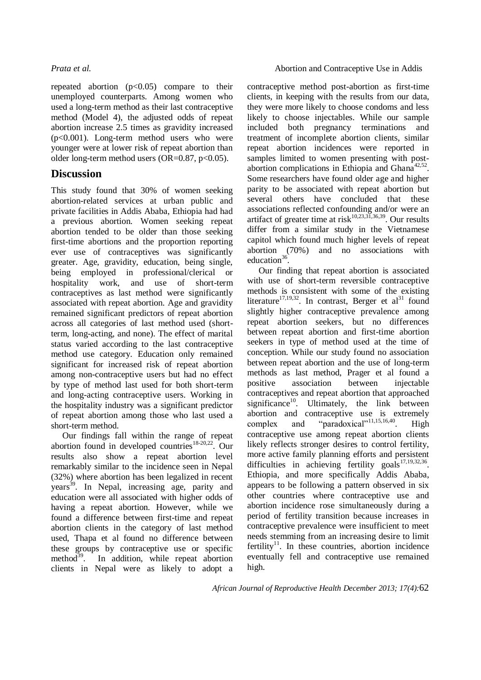repeated abortion  $(p<0.05)$  compare to their unemployed counterparts. Among women who used a long-term method as their last contraceptive method (Model 4), the adjusted odds of repeat abortion increase 2.5 times as gravidity increased (p<0.001). Long-term method users who were younger were at lower risk of repeat abortion than older long-term method users  $(OR=0.87, p<0.05)$ .

## **Discussion**

This study found that 30% of women seeking abortion-related services at urban public and private facilities in Addis Ababa, Ethiopia had had a previous abortion. Women seeking repeat abortion tended to be older than those seeking first-time abortions and the proportion reporting ever use of contraceptives was significantly greater. Age, gravidity, education, being single, being employed in professional/clerical or hospitality work, and use of short-term contraceptives as last method were significantly associated with repeat abortion. Age and gravidity remained significant predictors of repeat abortion across all categories of last method used (shortterm, long-acting, and none). The effect of marital status varied according to the last contraceptive method use category. Education only remained significant for increased risk of repeat abortion among non-contraceptive users but had no effect by type of method last used for both short-term and long-acting contraceptive users. Working in the hospitality industry was a significant predictor of repeat abortion among those who last used a short-term method.

Our findings fall within the range of repeat abortion found in developed countries<sup>[18-20,](#page-8-18)[22](#page-8-17)</sup>. Our results also show a repeat abortion level remarkably similar to the incidence seen in Nepal (32%) where abortion has been legalized in recent years<sup>[39](#page-9-3)</sup>. In Nepal, increasing age, parity and education were all associated with higher odds of having a repeat abortion. However, while we found a difference between first-time and repeat abortion clients in the category of last method used, Thapa et al found no difference between these groups by contraceptive use or specific method $^{39}$  $^{39}$  $^{39}$ . In addition, while repeat abortion clients in Nepal were as likely to adopt a contraceptive method post-abortion as first-time clients, in keeping with the results from our data, they were more likely to choose condoms and less likely to choose injectables. While our sample included both pregnancy terminations and treatment of incomplete abortion clients, similar repeat abortion incidences were reported in samples limited to women presenting with postabortion complications in Ethiopia and Ghana $42,52$  $42,52$ . Some researchers have found older age and higher parity to be associated with repeat abortion but several others have concluded that these associations reflected confounding and/or were an artifact of greater time at risk $10,23,31,36,39$  $10,23,31,36,39$  $10,23,31,36,39$  $10,23,31,36,39$  $10,23,31,36,39$ . Our results differ from a similar study in the Vietnamese capitol which found much higher levels of repeat abortion (70%) and no associations with education $3$ .

Our finding that repeat abortion is associated with use of short-term reversible contraceptive methods is consistent with some of the existing literature<sup>[17,](#page-8-10)[19,](#page-8-19)[32](#page-9-0)</sup>. In contrast, Berger et al<sup>[31](#page-8-16)</sup> found slightly higher contraceptive prevalence among repeat abortion seekers, but no differences between repeat abortion and first-time abortion seekers in type of method used at the time of conception. While our study found no association between repeat abortion and the use of long-term methods as last method, Prager et al found a positive association between injectable contraceptives and repeat abortion that approached significance<sup>[10](#page-8-5)</sup>. Ultimately, the link between abortion and contraceptive use is extremely complex and "paradoxical"<sup>[11,](#page-8-6)[15,](#page-8-8)[16,](#page-8-9)[40](#page-9-4)</sup>. High contraceptive use among repeat abortion clients likely reflects stronger desires to control fertility, more active family planning efforts and persistent difficulties in achieving fertility goals<sup>[17,](#page-8-10)[19,](#page-8-19)[32,](#page-9-0)[36](#page-9-1)</sup>. Ethiopia, and more specifically Addis Ababa, appears to be following a pattern observed in six other countries where contraceptive use and abortion incidence rose simultaneously during a period of fertility transition because increases in contraceptive prevalence were insufficient to meet needs stemming from an increasing desire to limit fertility<sup>[11](#page-8-6)</sup>. In these countries, abortion incidence eventually fell and contraceptive use remained high.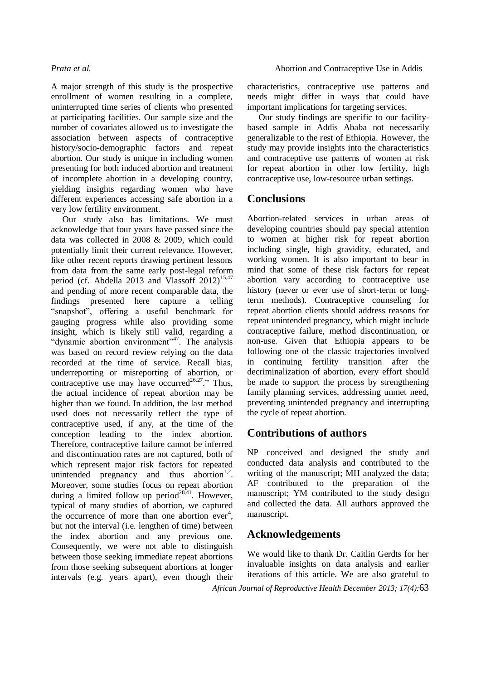A major strength of this study is the prospective enrollment of women resulting in a complete, uninterrupted time series of clients who presented at participating facilities. Our sample size and the number of covariates allowed us to investigate the association between aspects of contraceptive history/socio-demographic factors and repeat abortion. Our study is unique in including women presenting for both induced abortion and treatment of incomplete abortion in a developing country, yielding insights regarding women who have different experiences accessing safe abortion in a very low fertility environment.

Our study also has limitations. We must acknowledge that four years have passed since the data was collected in 2008 & 2009, which could potentially limit their current relevance. However, like other recent reports drawing pertinent lessons from data from the same early post-legal reform period (cf. Abdella 2013 and Vlassoff  $2012$ )<sup>[15,](#page-8-8)[47](#page-9-10)</sup> and pending of more recent comparable data, the findings presented here capture a telling "snapshot", offering a useful benchmark for gauging progress while also providing some insight, which is likely still valid, regarding a "dynamic abortion environment"<sup>[47](#page-9-10)</sup>. The analysis was based on record review relying on the data recorded at the time of service. Recall bias, underreporting or misreporting of abortion, or contraceptive use may have occurred<sup>[26,](#page-8-20)[27](#page-8-21)</sup>." Thus, the actual incidence of repeat abortion may be higher than we found. In addition, the last method used does not necessarily reflect the type of contraceptive used, if any, at the time of the conception leading to the index abortion. Therefore, contraceptive failure cannot be inferred and discontinuation rates are not captured, both of which represent major risk factors for repeated unintended pregnancy and thus abortion<sup>[1,](#page-8-0)[2](#page-8-22)</sup>. Moreover, some studies focus on repeat abortion during a limited follow up period<sup>[28,](#page-8-15)[41](#page-9-5)</sup>. However, typical of many studies of abortion, we captured the occurrence of more than one abortion  $ever<sup>4</sup>$ [,](#page-8-13) but not the interval (i.e. lengthen of time) between the index abortion and any previous one. Consequently, we were not able to distinguish between those seeking immediate repeat abortions from those seeking subsequent abortions at longer intervals (e.g. years apart), even though their

characteristics, contraceptive use patterns and needs might differ in ways that could have important implications for targeting services.

Our study findings are specific to our facilitybased sample in Addis Ababa not necessarily generalizable to the rest of Ethiopia. However, the study may provide insights into the characteristics and contraceptive use patterns of women at risk for repeat abortion in other low fertility, high contraceptive use, low-resource urban settings.

## **Conclusions**

Abortion-related services in urban areas of developing countries should pay special attention to women at higher risk for repeat abortion including single, high gravidity, educated, and working women. It is also important to bear in mind that some of these risk factors for repeat abortion vary according to contraceptive use history (never or ever use of short-term or longterm methods). Contraceptive counseling for repeat abortion clients should address reasons for repeat unintended pregnancy, which might include contraceptive failure, method discontinuation, or non-use. Given that Ethiopia appears to be following one of the classic trajectories involved in continuing fertility transition after the decriminalization of abortion, every effort should be made to support the process by strengthening family planning services, addressing unmet need, preventing unintended pregnancy and interrupting the cycle of repeat abortion.

## **Contributions of authors**

NP conceived and designed the study and conducted data analysis and contributed to the writing of the manuscript; MH analyzed the data; AF contributed to the preparation of the manuscript; YM contributed to the study design and collected the data. All authors approved the manuscript.

## **Acknowledgements**

We would like to thank Dr. Caitlin Gerdts for her invaluable insights on data analysis and earlier iterations of this article. We are also grateful to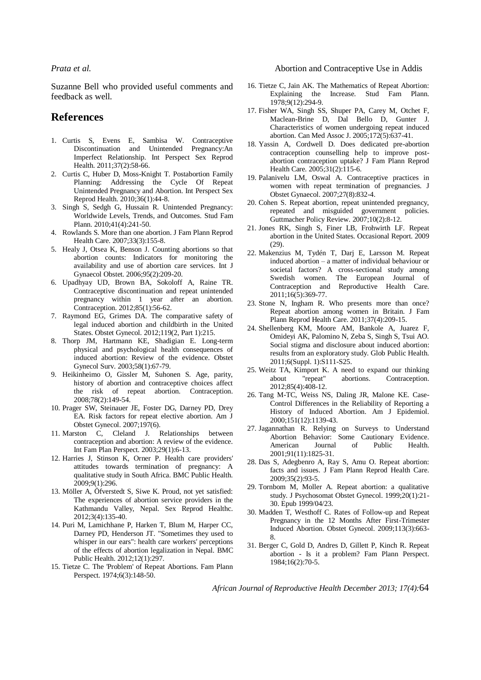Suzanne Bell who provided useful comments and feedback as well.

## **References**

- <span id="page-8-0"></span>1. Curtis S, Evens E, Sambisa W. Contraceptive Discontinuation and Unintended Pregnancy:An Imperfect Relationship. Int Perspect Sex Reprod Health. 2011;37(2):58-66.
- <span id="page-8-22"></span>2. Curtis C, Huber D, Moss-Knight T. Postabortion Family Planning: Addressing the Cycle Of Repeat Unintended Pregnancy and Abortion. Int Perspect Sex Reprod Health. 2010;36(1):44-8.
- 3. Singh S, Sedgh G, Hussain R. Unintended Pregnancy: Worldwide Levels, Trends, and Outcomes. Stud Fam Plann. 2010;41(4):241-50.
- 4. Rowlands S. More than one abortion. J Fam Plann Reprod Health Care. 2007;33(3):155-8.
- 5. Healy J, Otsea K, Benson J. Counting abortions so that abortion counts: Indicators for monitoring the availability and use of abortion care services. Int J Gynaecol Obstet. 2006;95(2):209-20.
- 6. Upadhyay UD, Brown BA, Sokoloff A, Raine TR. Contraceptive discontinuation and repeat unintended pregnancy within 1 year after an abortion. Contraception. 2012;85(1):56-62.
- 7. Raymond EG, Grimes DA. The comparative safety of legal induced abortion and childbirth in the United States. Obstet Gynecol. 2012;119(2, Part 1):215.
- 8. Thorp JM, Hartmann KE, Shadigian E. Long-term physical and psychological health consequences of induced abortion: Review of the evidence. Obstet Gynecol Surv. 2003;58(1):67-79.
- 9. Heikinheimo O, Gissler M, Suhonen S. Age, parity, history of abortion and contraceptive choices affect the risk of repeat abortion. Contraception. 2008;78(2):149-54.
- <span id="page-8-5"></span>10. Prager SW, Steinauer JE, Foster DG, Darney PD, Drey EA. Risk factors for repeat elective abortion. Am J Obstet Gynecol. 2007;197(6).
- 11. Marston C, Cleland J. Relationships between contraception and abortion: A review of the evidence. Int Fam Plan Perspect. 2003;29(1):6-13.
- 12. Harries J, Stinson K, Orner P. Health care providers' attitudes towards termination of pregnancy: A qualitative study in South Africa. BMC Public Health. 2009;9(1):296.
- 13. Möller A, Öfverstedt S, Siwe K. Proud, not yet satisfied: The experiences of abortion service providers in the Kathmandu Valley, Nepal. Sex Reprod Healthc. 2012;3(4):135-40.
- 14. Puri M, Lamichhane P, Harken T, Blum M, Harper CC, Darney PD, Henderson JT. "Sometimes they used to whisper in our ears": health care workers' perceptions of the effects of abortion legalization in Nepal. BMC Public Health. 2012;12(1):297.
- 15. Tietze C. The 'Problem' of Repeat Abortions. Fam Plann Perspect. 1974;6(3):148-50.

### *Prata et al.* Abortion and Contraceptive Use in Addis

- 16. Tietze C, Jain AK. The Mathematics of Repeat Abortion: Explaining the Increase. Stud Fam Plann. 1978;9(12):294-9.
- <span id="page-8-10"></span>17. Fisher WA, Singh SS, Shuper PA, Carey M, Otchet F, Maclean-Brine D, Dal Bello D, Gunter J. Characteristics of women undergoing repeat induced abortion. Can Med Assoc J. 2005;172(5):637-41.
- <span id="page-8-18"></span>18. Yassin A, Cordwell D. Does dedicated pre-abortion contraception counselling help to improve postabortion contraception uptake? J Fam Plann Reprod Health Care. 2005;31(2):115-6.
- <span id="page-8-19"></span>19. Palanivelu LM, Oswal A. Contraceptive practices in women with repeat termination of pregnancies. J Obstet Gynaecol. 2007;27(8):832-4.
- 20. Cohen S. Repeat abortion, repeat unintended pregnancy, repeated and misguided government policies. Guttmacher Policy Review. 2007;10(2):8-12.
- <span id="page-8-13"></span>21. Jones RK, Singh S, Finer LB, Frohwirth LF. Repeat abortion in the United States. Occasional Report. 2009 (29).
- <span id="page-8-17"></span><span id="page-8-1"></span>22. Makenzius M, Tydén T, Darj E, Larsson M. Repeat induced abortion – a matter of individual behaviour or societal factors? A cross-sectional study among Swedish women. The European Journal of Contraception and Reproductive Health Care. 2011;16(5):369-77.
- <span id="page-8-11"></span><span id="page-8-2"></span>23. Stone N, Ingham R. Who presents more than once? Repeat abortion among women in Britain. J Fam Plann Reprod Health Care. 2011;37(4):209-15.
- <span id="page-8-12"></span><span id="page-8-3"></span>24. Shellenberg KM, Moore AM, Bankole A, Juarez F, Omideyi AK, Palomino N, Zeba S, Singh S, Tsui AO. Social stigma and disclosure about induced abortion: results from an exploratory study. Glob Public Health. 2011;6(Suppl. 1):S111-S25.
- <span id="page-8-14"></span><span id="page-8-4"></span>25. Weitz TA, Kimport K. A need to expand our thinking about "repeat" abortions. Contraception. 2012;85(4):408-12.
- <span id="page-8-20"></span>26. Tang M-TC, Weiss NS, Daling JR, Malone KE. Case-Control Differences in the Reliability of Reporting a History of Induced Abortion. Am J Epidemiol. 2000;151(12):1139-43.
- <span id="page-8-21"></span><span id="page-8-6"></span>27. Jagannathan R. Relying on Surveys to Understand Abortion Behavior: Some Cautionary Evidence. American 2001;91(11):1825-31.
- <span id="page-8-15"></span><span id="page-8-7"></span>28. Das S, Adegbenro A, Ray S, Amu O. Repeat abortion: facts and issues. J Fam Plann Reprod Health Care. 2009;35(2):93-5.
- 29. Tornbom M, Moller A. Repeat abortion: a qualitative study. J Psychosomat Obstet Gynecol. 1999;20(1):21- 30. Epub 1999/04/23.
- 30. Madden T, Westhoff C. Rates of Follow-up and Repeat Pregnancy in the 12 Months After First-Trimester Induced Abortion. Obstet Gynecol. 2009;113(3):663- 8.
- <span id="page-8-16"></span><span id="page-8-9"></span><span id="page-8-8"></span>31. Berger C, Gold D, Andres D, Gillett P, Kinch R. Repeat abortion - Is it a problem? Fam Plann Perspect. 1984;16(2):70-5.